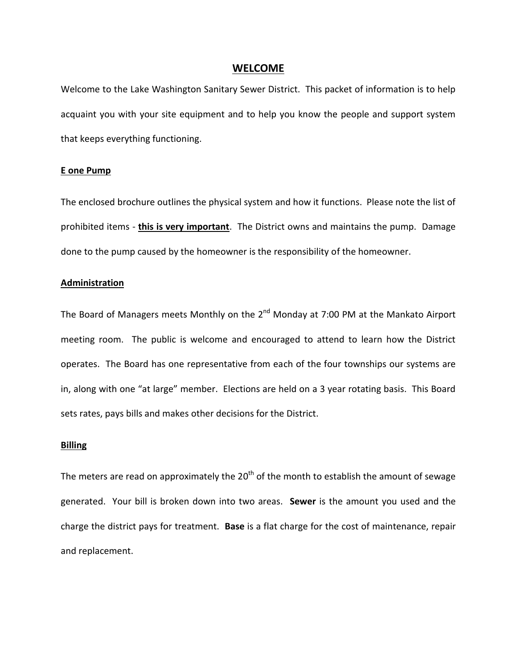#### **WELCOME**

Welcome to the Lake Washington Sanitary Sewer District. This packet of information is to help acquaint you with your site equipment and to help you know the people and support system that keeps everything functioning.

#### **E one Pump**

The enclosed brochure outlines the physical system and how it functions. Please note the list of prohibited items - **this is very important**. The District owns and maintains the pump. Damage done to the pump caused by the homeowner is the responsibility of the homeowner.

## **Administration**

The Board of Managers meets Monthly on the  $2^{nd}$  Monday at 7:00 PM at the Mankato Airport meeting room. The public is welcome and encouraged to attend to learn how the District operates. The Board has one representative from each of the four townships our systems are in, along with one "at large" member. Elections are held on a 3 year rotating basis. This Board sets rates, pays bills and makes other decisions for the District.

#### **Billing**

The meters are read on approximately the 20<sup>th</sup> of the month to establish the amount of sewage generated. Your bill is broken down into two areas. **Sewer** is the amount you used and the charge the district pays for treatment. **Base** is a flat charge for the cost of maintenance, repair and replacement.